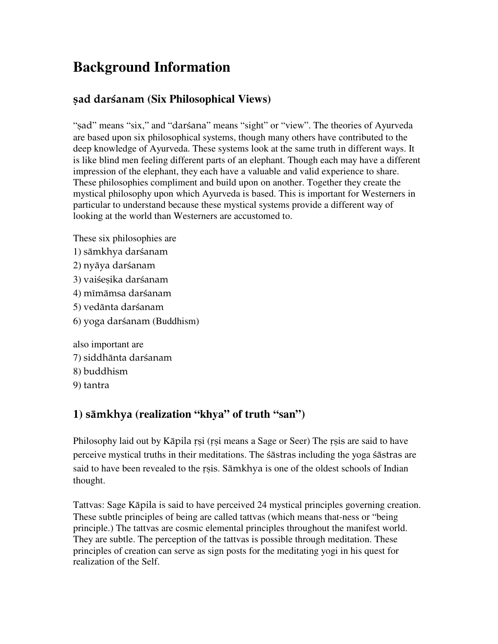# **Background Information**

# ñad darçanam **(Six Philosophical Views)**

"sad" means "six," and "darsana" means "sight" or "view". The theories of Ayurveda are based upon six philosophical systems, though many others have contributed to the deep knowledge of Ayurveda. These systems look at the same truth in different ways. It is like blind men feeling different parts of an elephant. Though each may have a different impression of the elephant, they each have a valuable and valid experience to share. These philosophies compliment and build upon on another. Together they create the mystical philosophy upon which Ayurveda is based. This is important for Westerners in particular to understand because these mystical systems provide a different way of looking at the world than Westerners are accustomed to.

- These six philosophies are
- 1) sāmkhya darśanam
- 2) nyāya darśanam
- 3) vaiśesika darśanam
- 4) mīmāmsa darśanam
- 5) vedänta darçanam
- 6) yoga darçanam (Buddhism)

also important are 7) siddhänta darçanam 8) buddhism

9) tantra

# **1)** sämkhya **(realization "khya" of truth "san")**

Philosophy laid out by Kāpila rsi (rsi means a Sage or Seer) The rsis are said to have perceive mystical truths in their meditations. The çästras including the yoga çästras are said to have been revealed to the rsis. Sämkhya is one of the oldest schools of Indian thought.

Tattvas: Sage Käpila is said to have perceived 24 mystical principles governing creation. These subtle principles of being are called tattvas (which means that-ness or "being principle.) The tattvas are cosmic elemental principles throughout the manifest world. They are subtle. The perception of the tattvas is possible through meditation. These principles of creation can serve as sign posts for the meditating yogi in his quest for realization of the Self.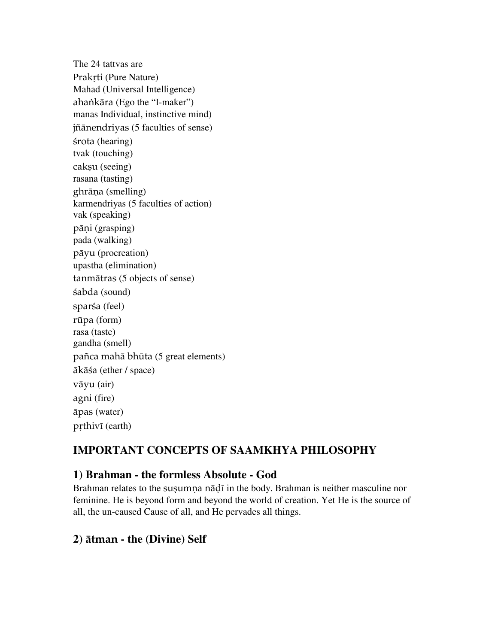The 24 tattvas are Prakrti (Pure Nature) Mahad (Universal Intelligence) ahankāra (Ego the "I-maker") manas Individual, instinctive mind) jïänendriyas (5 faculties of sense) śrota (hearing) tvak (touching) caksu (seeing) rasana (tasting) ghrāna (smelling) karmendriyas (5 faculties of action) vak (speaking) pāņi (grasping) pada (walking) päyu (procreation) upastha (elimination) tanmätras (5 objects of sense) çabda (sound) sparśa (feel) rüpa (form) rasa (taste) gandha (smell) païca mahä bhüta (5 great elements) äkäça (ether / space) väyu (air) agni (fire) äpas (water) prthivī (earth)

# **IMPORTANT CONCEPTS OF SAAMKHYA PHILOSOPHY**

#### **1) Brahman - the formless Absolute - God**

Brahman relates to the susumna nādī in the body. Brahman is neither masculine nor feminine. He is beyond form and beyond the world of creation. Yet He is the source of all, the un-caused Cause of all, and He pervades all things.

#### **2)** ätman **- the (Divine) Self**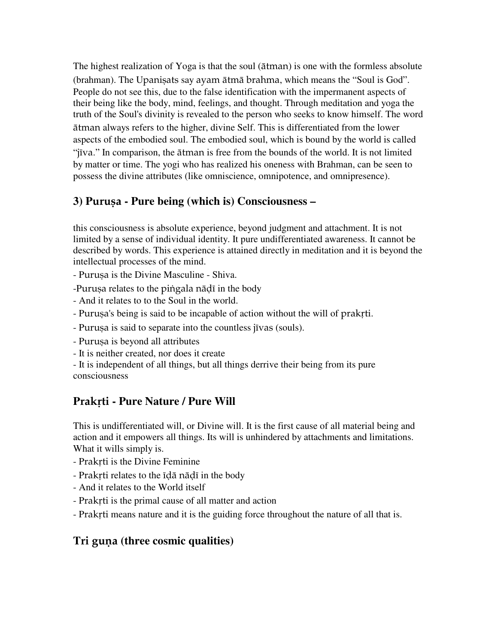The highest realization of Yoga is that the soul (ätman) is one with the formless absolute (brahman). The Upaniṣats say ayam ātmā brahma, which means the "Soul is God". People do not see this, due to the false identification with the impermanent aspects of their being like the body, mind, feelings, and thought. Through meditation and yoga the truth of the Soul's divinity is revealed to the person who seeks to know himself. The word ätman always refers to the higher, divine Self. This is differentiated from the lower aspects of the embodied soul. The embodied soul, which is bound by the world is called "jīva." In comparison, the ātman is free from the bounds of the world. It is not limited by matter or time. The yogi who has realized his oneness with Brahman, can be seen to possess the divine attributes (like omniscience, omnipotence, and omnipresence).

#### **3) P**uruña **- Pure being (which is) Consciousness –**

this consciousness is absolute experience, beyond judgment and attachment. It is not limited by a sense of individual identity. It pure undifferentiated awareness. It cannot be described by words. This experience is attained directly in meditation and it is beyond the intellectual processes of the mind.

- Purusa is the Divine Masculine - Shiva.

-Purușa relates to the pingala nädī in the body

- And it relates to to the Soul in the world.
- Purușa's being is said to be incapable of action without the will of prakti.
- Purușa is said to separate into the countless jīvas (souls).
- Purusa is beyond all attributes
- It is neither created, nor does it create

- It is independent of all things, but all things derrive their being from its pure consciousness

## Prakrti - Pure Nature / Pure Will

This is undifferentiated will, or Divine will. It is the first cause of all material being and action and it empowers all things. Its will is unhindered by attachments and limitations. What it wills simply is.

- Prakrti is the Divine Feminine
- Prakrti relates to the *ida* nadi in the body
- And it relates to the World itself
- Prakrti is the primal cause of all matter and action
- Prakrti means nature and it is the guiding force throughout the nature of all that is.

#### **Tri guna (three cosmic qualities)**